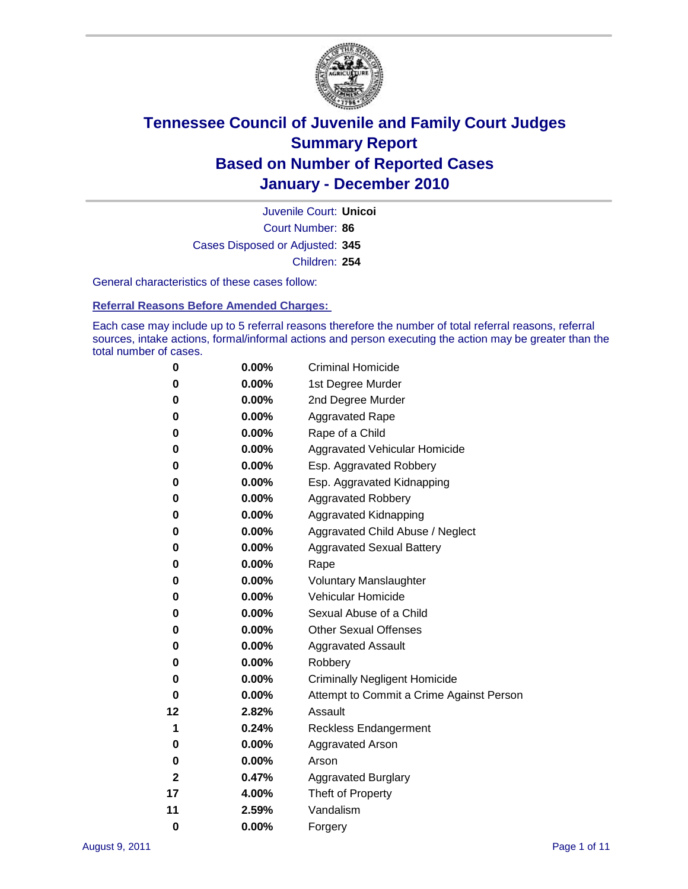

Court Number: **86** Juvenile Court: **Unicoi** Cases Disposed or Adjusted: **345** Children: **254**

General characteristics of these cases follow:

**Referral Reasons Before Amended Charges:** 

Each case may include up to 5 referral reasons therefore the number of total referral reasons, referral sources, intake actions, formal/informal actions and person executing the action may be greater than the total number of cases.

| 0  | $0.00\%$ | <b>Criminal Homicide</b>                 |
|----|----------|------------------------------------------|
| 0  | 0.00%    | 1st Degree Murder                        |
| 0  | 0.00%    | 2nd Degree Murder                        |
| 0  | 0.00%    | <b>Aggravated Rape</b>                   |
| 0  | 0.00%    | Rape of a Child                          |
| 0  | 0.00%    | Aggravated Vehicular Homicide            |
| 0  | 0.00%    | Esp. Aggravated Robbery                  |
| 0  | 0.00%    | Esp. Aggravated Kidnapping               |
| 0  | 0.00%    | <b>Aggravated Robbery</b>                |
| 0  | 0.00%    | Aggravated Kidnapping                    |
| 0  | 0.00%    | Aggravated Child Abuse / Neglect         |
| 0  | 0.00%    | <b>Aggravated Sexual Battery</b>         |
| 0  | 0.00%    | Rape                                     |
| 0  | $0.00\%$ | <b>Voluntary Manslaughter</b>            |
| 0  | 0.00%    | Vehicular Homicide                       |
| 0  | 0.00%    | Sexual Abuse of a Child                  |
| 0  | 0.00%    | <b>Other Sexual Offenses</b>             |
| 0  | 0.00%    | <b>Aggravated Assault</b>                |
| 0  | 0.00%    | Robbery                                  |
| 0  | 0.00%    | <b>Criminally Negligent Homicide</b>     |
| 0  | 0.00%    | Attempt to Commit a Crime Against Person |
| 12 | 2.82%    | Assault                                  |
| 1  | 0.24%    | <b>Reckless Endangerment</b>             |
| 0  | 0.00%    | <b>Aggravated Arson</b>                  |
| 0  | 0.00%    | Arson                                    |
| 2  | 0.47%    | <b>Aggravated Burglary</b>               |
| 17 | 4.00%    | Theft of Property                        |
| 11 | 2.59%    | Vandalism                                |
| 0  | 0.00%    | Forgery                                  |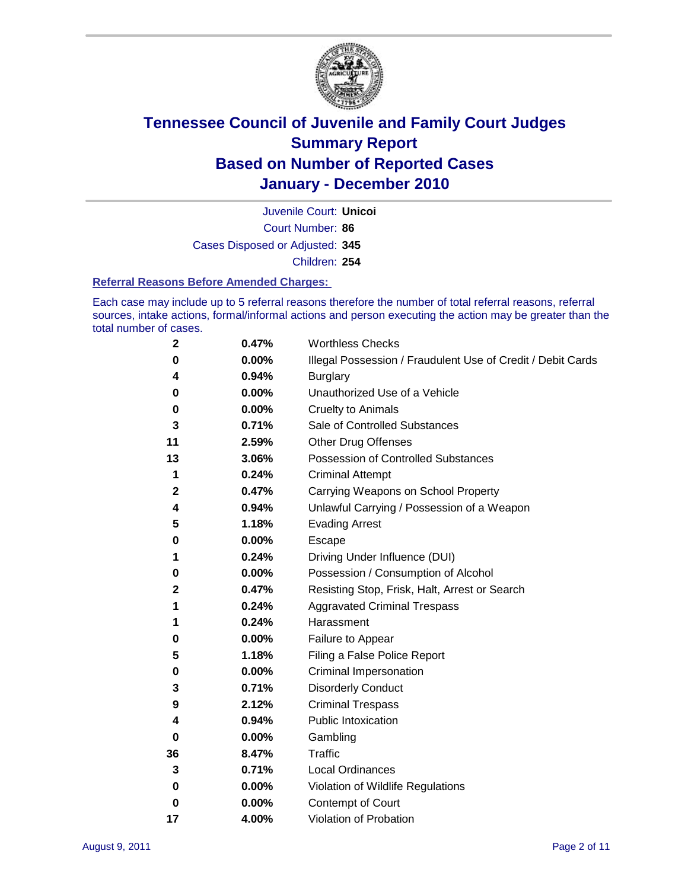

Court Number: **86** Juvenile Court: **Unicoi** Cases Disposed or Adjusted: **345** Children: **254**

#### **Referral Reasons Before Amended Charges:**

Each case may include up to 5 referral reasons therefore the number of total referral reasons, referral sources, intake actions, formal/informal actions and person executing the action may be greater than the total number of cases.

| 2            | 0.47% | <b>Worthless Checks</b>                                     |
|--------------|-------|-------------------------------------------------------------|
| 0            | 0.00% | Illegal Possession / Fraudulent Use of Credit / Debit Cards |
| 4            | 0.94% | <b>Burglary</b>                                             |
| 0            | 0.00% | Unauthorized Use of a Vehicle                               |
| 0            | 0.00% | <b>Cruelty to Animals</b>                                   |
| 3            | 0.71% | Sale of Controlled Substances                               |
| 11           | 2.59% | <b>Other Drug Offenses</b>                                  |
| 13           | 3.06% | <b>Possession of Controlled Substances</b>                  |
| 1            | 0.24% | <b>Criminal Attempt</b>                                     |
| $\mathbf{2}$ | 0.47% | Carrying Weapons on School Property                         |
| 4            | 0.94% | Unlawful Carrying / Possession of a Weapon                  |
| 5            | 1.18% | <b>Evading Arrest</b>                                       |
| 0            | 0.00% | Escape                                                      |
| 1            | 0.24% | Driving Under Influence (DUI)                               |
| 0            | 0.00% | Possession / Consumption of Alcohol                         |
| 2            | 0.47% | Resisting Stop, Frisk, Halt, Arrest or Search               |
| 1            | 0.24% | <b>Aggravated Criminal Trespass</b>                         |
| 1            | 0.24% | Harassment                                                  |
| 0            | 0.00% | Failure to Appear                                           |
| 5            | 1.18% | Filing a False Police Report                                |
| 0            | 0.00% | Criminal Impersonation                                      |
| 3            | 0.71% | <b>Disorderly Conduct</b>                                   |
| 9            | 2.12% | <b>Criminal Trespass</b>                                    |
| 4            | 0.94% | <b>Public Intoxication</b>                                  |
| 0            | 0.00% | Gambling                                                    |
| 36           | 8.47% | Traffic                                                     |
| 3            | 0.71% | <b>Local Ordinances</b>                                     |
| 0            | 0.00% | Violation of Wildlife Regulations                           |
| 0            | 0.00% | Contempt of Court                                           |
| 17           | 4.00% | Violation of Probation                                      |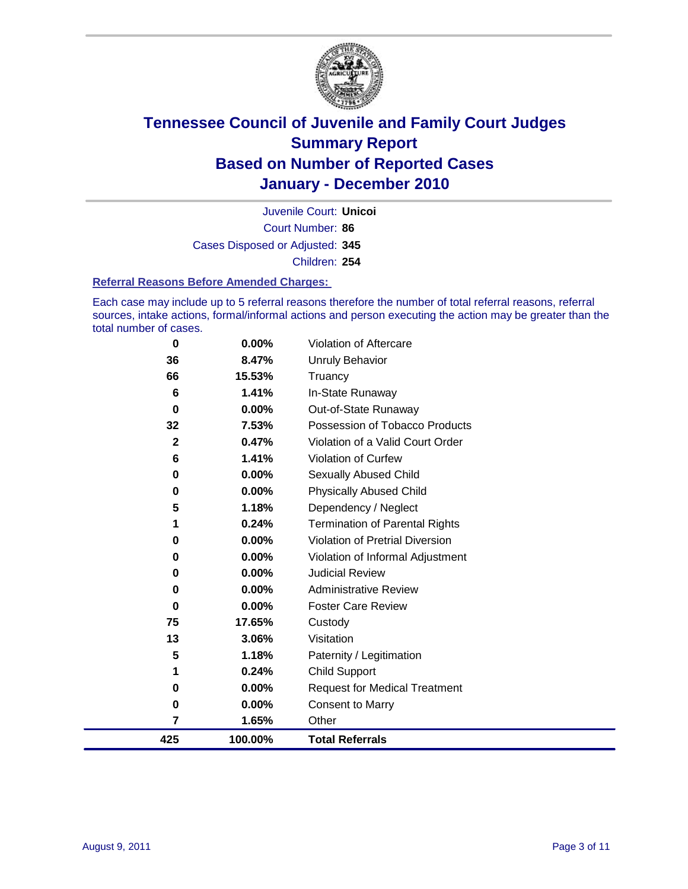

Court Number: **86** Juvenile Court: **Unicoi** Cases Disposed or Adjusted: **345** Children: **254**

#### **Referral Reasons Before Amended Charges:**

Each case may include up to 5 referral reasons therefore the number of total referral reasons, referral sources, intake actions, formal/informal actions and person executing the action may be greater than the total number of cases.

|    |                                                                   | Other                                                                                                                   |
|----|-------------------------------------------------------------------|-------------------------------------------------------------------------------------------------------------------------|
| 0  | 0.00%                                                             | Consent to Marry                                                                                                        |
| 0  | 0.00%                                                             | <b>Request for Medical Treatment</b>                                                                                    |
| 1  | 0.24%                                                             | <b>Child Support</b>                                                                                                    |
| 5  | 1.18%                                                             | Paternity / Legitimation                                                                                                |
| 13 | 3.06%                                                             | Visitation                                                                                                              |
| 75 | 17.65%                                                            | Custody                                                                                                                 |
| 0  | 0.00%                                                             | <b>Foster Care Review</b>                                                                                               |
| 0  | $0.00\%$                                                          | <b>Administrative Review</b>                                                                                            |
| 0  | 0.00%                                                             | <b>Judicial Review</b>                                                                                                  |
| 0  | 0.00%                                                             | Violation of Informal Adjustment                                                                                        |
| 0  |                                                                   | <b>Violation of Pretrial Diversion</b>                                                                                  |
|    | 0.24%                                                             | <b>Termination of Parental Rights</b>                                                                                   |
|    |                                                                   | Dependency / Neglect                                                                                                    |
|    |                                                                   | <b>Physically Abused Child</b>                                                                                          |
|    |                                                                   | <b>Sexually Abused Child</b>                                                                                            |
|    |                                                                   | <b>Violation of Curfew</b>                                                                                              |
|    |                                                                   | Violation of a Valid Court Order                                                                                        |
|    |                                                                   | Possession of Tobacco Products                                                                                          |
|    |                                                                   | In-State Runaway<br>Out-of-State Runaway                                                                                |
|    |                                                                   | Truancy                                                                                                                 |
|    |                                                                   | Unruly Behavior                                                                                                         |
|    |                                                                   | Violation of Aftercare                                                                                                  |
|    | 0<br>36<br>66<br>6<br>0<br>32<br>$\mathbf{2}$<br>6<br>0<br>0<br>5 | 0.00%<br>8.47%<br>15.53%<br>1.41%<br>0.00%<br>7.53%<br>0.47%<br>1.41%<br>0.00%<br>0.00%<br>1.18%<br>0.00%<br>7<br>1.65% |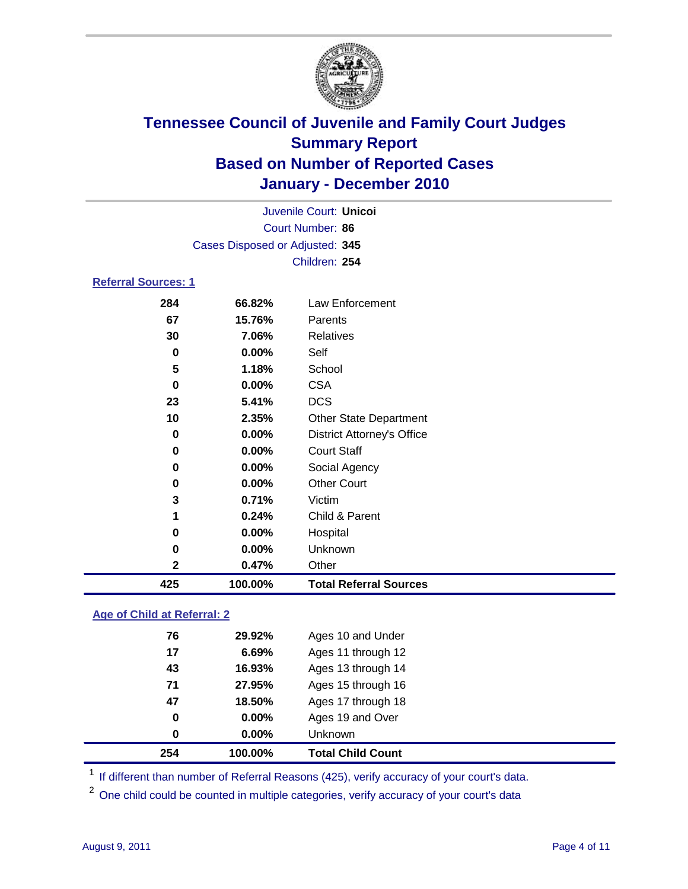

|                            |                                 | Juvenile Court: Unicoi            |  |  |
|----------------------------|---------------------------------|-----------------------------------|--|--|
|                            | Court Number: 86                |                                   |  |  |
|                            | Cases Disposed or Adjusted: 345 |                                   |  |  |
|                            |                                 | Children: 254                     |  |  |
| <b>Referral Sources: 1</b> |                                 |                                   |  |  |
| 284                        | 66.82%                          | Law Enforcement                   |  |  |
| 67                         | 15.76%                          | Parents                           |  |  |
| 30                         | 7.06%                           | <b>Relatives</b>                  |  |  |
| 0                          | 0.00%                           | Self                              |  |  |
| 5                          | 1.18%                           | School                            |  |  |
| $\bf{0}$                   | 0.00%                           | <b>CSA</b>                        |  |  |
| 23                         | 5.41%                           | <b>DCS</b>                        |  |  |
| 10                         | 2.35%                           | <b>Other State Department</b>     |  |  |
| 0                          | $0.00\%$                        | <b>District Attorney's Office</b> |  |  |
| 0                          | 0.00%                           | <b>Court Staff</b>                |  |  |
| 0                          | 0.00%                           | Social Agency                     |  |  |
| 0                          | 0.00%                           | <b>Other Court</b>                |  |  |
| 3                          | 0.71%                           | Victim                            |  |  |
| 1                          | 0.24%                           | Child & Parent                    |  |  |
| 0                          | 0.00%                           | Hospital                          |  |  |
| 0                          | 0.00%                           | Unknown                           |  |  |
| $\mathbf{2}$               | 0.47%                           | Other                             |  |  |
| 425                        | 100.00%                         | <b>Total Referral Sources</b>     |  |  |

#### **Age of Child at Referral: 2**

| 254 | 100.00% | <b>Total Child Count</b> |
|-----|---------|--------------------------|
| 0   | 0.00%   | <b>Unknown</b>           |
| 0   | 0.00%   | Ages 19 and Over         |
| 47  | 18.50%  | Ages 17 through 18       |
| 71  | 27.95%  | Ages 15 through 16       |
| 43  | 16.93%  | Ages 13 through 14       |
| 17  | 6.69%   | Ages 11 through 12       |
| 76  | 29.92%  | Ages 10 and Under        |
|     |         |                          |

<sup>1</sup> If different than number of Referral Reasons (425), verify accuracy of your court's data.

<sup>2</sup> One child could be counted in multiple categories, verify accuracy of your court's data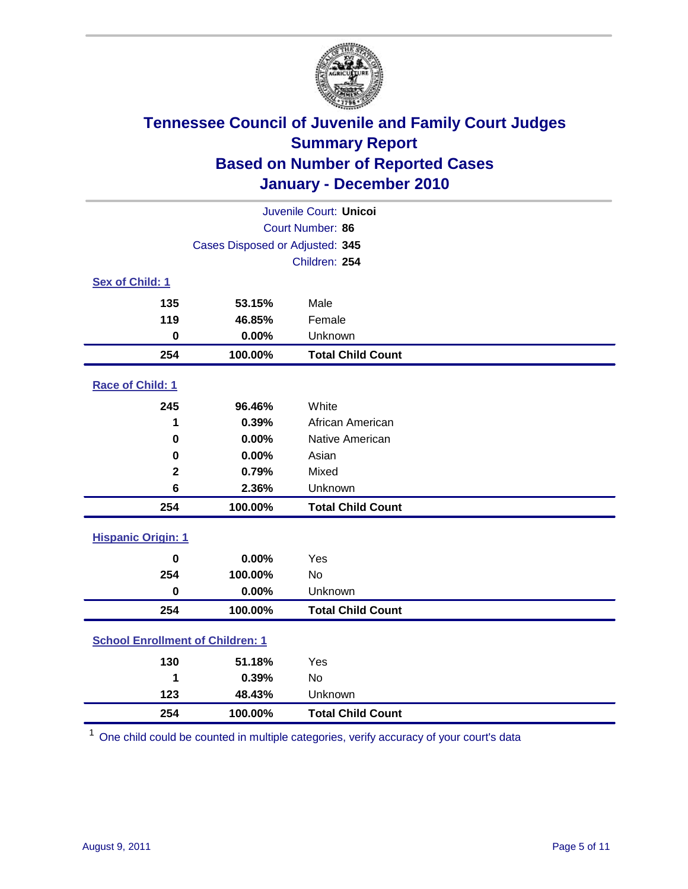

|                                         | Juvenile Court: Unicoi          |                          |  |  |
|-----------------------------------------|---------------------------------|--------------------------|--|--|
| Court Number: 86                        |                                 |                          |  |  |
|                                         | Cases Disposed or Adjusted: 345 |                          |  |  |
|                                         |                                 | Children: 254            |  |  |
| Sex of Child: 1                         |                                 |                          |  |  |
| 135                                     | 53.15%                          | Male                     |  |  |
| 119                                     | 46.85%                          | Female                   |  |  |
| $\mathbf 0$                             | 0.00%                           | Unknown                  |  |  |
| 254                                     | 100.00%                         | <b>Total Child Count</b> |  |  |
| Race of Child: 1                        |                                 |                          |  |  |
| 245                                     | 96.46%                          | White                    |  |  |
| 1                                       | 0.39%                           | African American         |  |  |
| 0                                       | 0.00%                           | Native American          |  |  |
| 0                                       | 0.00%                           | Asian                    |  |  |
| $\mathbf 2$                             | 0.79%                           | Mixed                    |  |  |
| 6                                       | 2.36%                           | Unknown                  |  |  |
| 254                                     | 100.00%                         | <b>Total Child Count</b> |  |  |
| <b>Hispanic Origin: 1</b>               |                                 |                          |  |  |
| $\mathbf 0$                             | 0.00%                           | Yes                      |  |  |
| 254                                     | 100.00%                         | <b>No</b>                |  |  |
| $\mathbf 0$                             | 0.00%                           | Unknown                  |  |  |
| 254                                     | 100.00%                         | <b>Total Child Count</b> |  |  |
| <b>School Enrollment of Children: 1</b> |                                 |                          |  |  |
|                                         |                                 |                          |  |  |
| 130                                     | 51.18%                          | Yes                      |  |  |
| 1                                       | 0.39%                           | No                       |  |  |
| 123                                     | 48.43%                          | Unknown                  |  |  |
| 254                                     | 100.00%                         | <b>Total Child Count</b> |  |  |

One child could be counted in multiple categories, verify accuracy of your court's data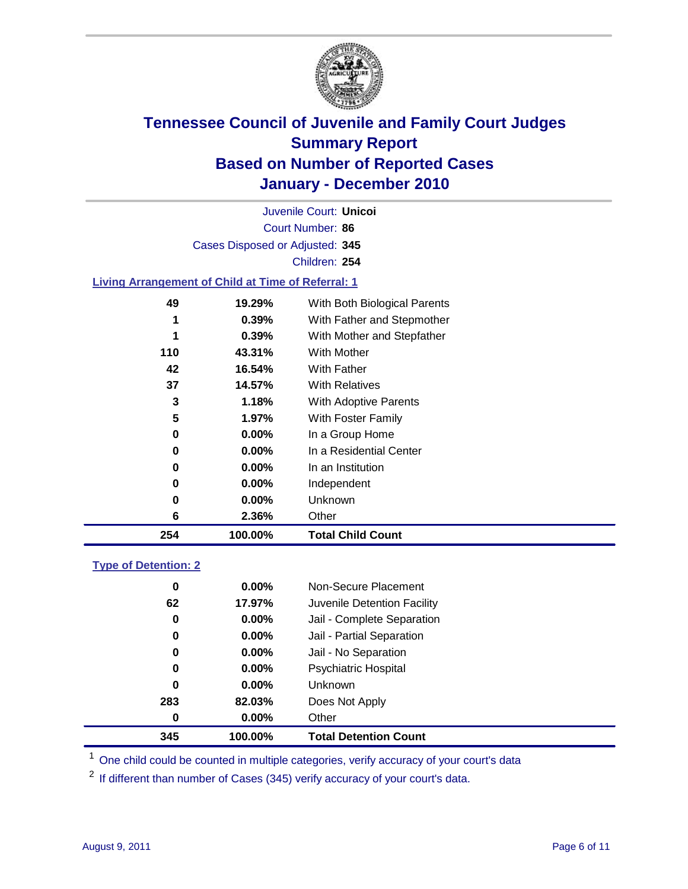

Court Number: **86** Juvenile Court: **Unicoi** Cases Disposed or Adjusted: **345** Children: **254**

#### **Living Arrangement of Child at Time of Referral: 1**

| 254 | 100.00%  | <b>Total Child Count</b>     |
|-----|----------|------------------------------|
| 6   | 2.36%    | Other                        |
| 0   | 0.00%    | Unknown                      |
| 0   | $0.00\%$ | Independent                  |
| 0   | 0.00%    | In an Institution            |
| 0   | $0.00\%$ | In a Residential Center      |
| 0   | 0.00%    | In a Group Home              |
| 5   | 1.97%    | With Foster Family           |
| 3   | 1.18%    | With Adoptive Parents        |
| 37  | 14.57%   | <b>With Relatives</b>        |
| 42  | 16.54%   | <b>With Father</b>           |
| 110 | 43.31%   | With Mother                  |
| 1   | 0.39%    | With Mother and Stepfather   |
| 1   | 0.39%    | With Father and Stepmother   |
| 49  | 19.29%   | With Both Biological Parents |
|     |          |                              |

#### **Type of Detention: 2**

| 345 | 100.00%  | <b>Total Detention Count</b> |  |
|-----|----------|------------------------------|--|
| 0   | 0.00%    | Other                        |  |
| 283 | 82.03%   | Does Not Apply               |  |
| 0   | $0.00\%$ | Unknown                      |  |
| 0   | $0.00\%$ | <b>Psychiatric Hospital</b>  |  |
| 0   | 0.00%    | Jail - No Separation         |  |
| 0   | $0.00\%$ | Jail - Partial Separation    |  |
| 0   | $0.00\%$ | Jail - Complete Separation   |  |
| 62  | 17.97%   | Juvenile Detention Facility  |  |
| 0   | $0.00\%$ | Non-Secure Placement         |  |
|     |          |                              |  |

<sup>1</sup> One child could be counted in multiple categories, verify accuracy of your court's data

<sup>2</sup> If different than number of Cases (345) verify accuracy of your court's data.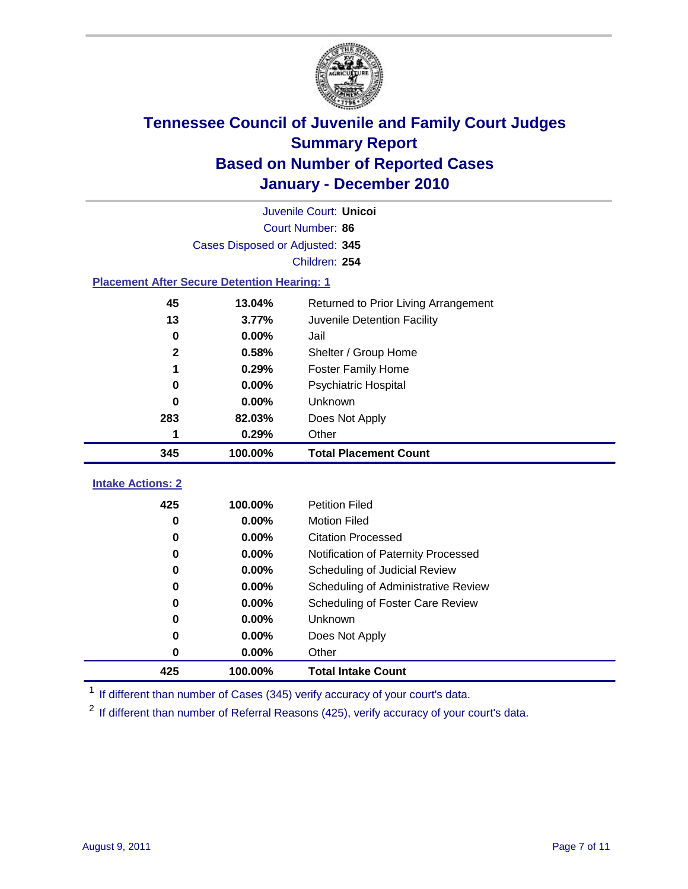

|                                                    | Juvenile Court: Unicoi          |                                      |  |  |  |
|----------------------------------------------------|---------------------------------|--------------------------------------|--|--|--|
|                                                    | Court Number: 86                |                                      |  |  |  |
|                                                    | Cases Disposed or Adjusted: 345 |                                      |  |  |  |
|                                                    |                                 | Children: 254                        |  |  |  |
| <b>Placement After Secure Detention Hearing: 1</b> |                                 |                                      |  |  |  |
| 45                                                 | 13.04%                          | Returned to Prior Living Arrangement |  |  |  |
| 13                                                 | 3.77%                           | Juvenile Detention Facility          |  |  |  |
| $\bf{0}$                                           | 0.00%                           | Jail                                 |  |  |  |
| $\mathbf{2}$                                       | 0.58%                           | Shelter / Group Home                 |  |  |  |
| 1                                                  | 0.29%                           | <b>Foster Family Home</b>            |  |  |  |
| 0                                                  | 0.00%                           | Psychiatric Hospital                 |  |  |  |
| 0                                                  | 0.00%                           | Unknown                              |  |  |  |
| 283                                                | 82.03%                          | Does Not Apply                       |  |  |  |
| 1                                                  | 0.29%                           | Other                                |  |  |  |
| 345                                                | 100.00%                         | <b>Total Placement Count</b>         |  |  |  |
|                                                    |                                 |                                      |  |  |  |
| <b>Intake Actions: 2</b>                           |                                 |                                      |  |  |  |
| 425                                                | 100.00%                         | <b>Petition Filed</b>                |  |  |  |
| 0                                                  | 0.00%                           | <b>Motion Filed</b>                  |  |  |  |
| $\bf{0}$                                           | 0.00%                           | <b>Citation Processed</b>            |  |  |  |
| $\bf{0}$                                           | 0.00%                           | Notification of Paternity Processed  |  |  |  |
| $\bf{0}$                                           | 0.00%                           | Scheduling of Judicial Review        |  |  |  |
| 0                                                  | 0.00%                           | Scheduling of Administrative Review  |  |  |  |
| 0                                                  | 0.00%                           | Scheduling of Foster Care Review     |  |  |  |
| $\bf{0}$                                           | 0.00%                           | Unknown                              |  |  |  |
| 0                                                  | 0.00%                           | Does Not Apply                       |  |  |  |
| 0                                                  | 0.00%                           | Other                                |  |  |  |
| 425                                                | 100.00%                         | <b>Total Intake Count</b>            |  |  |  |

<sup>1</sup> If different than number of Cases (345) verify accuracy of your court's data.

<sup>2</sup> If different than number of Referral Reasons (425), verify accuracy of your court's data.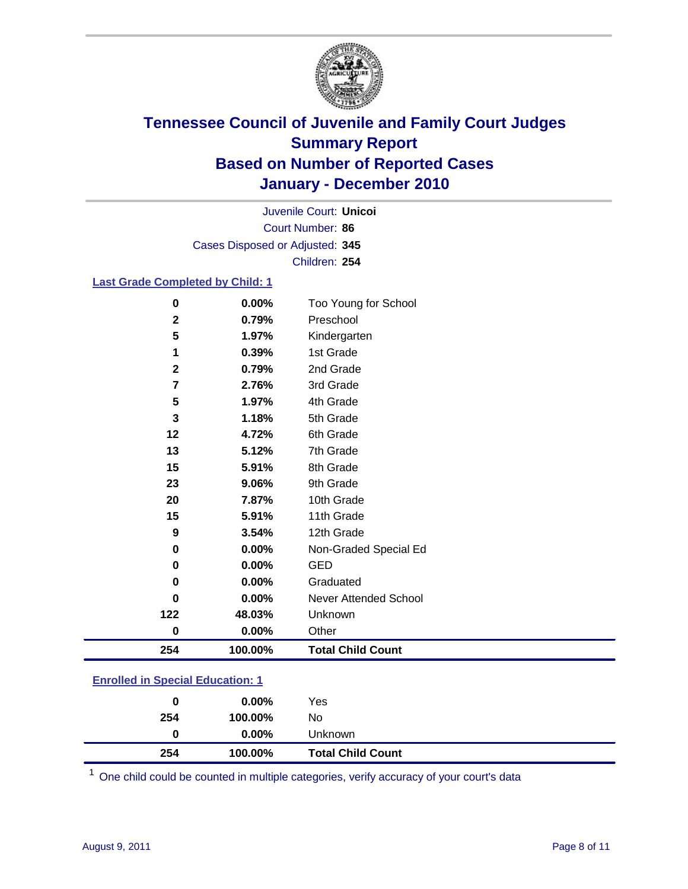

Court Number: **86** Juvenile Court: **Unicoi** Cases Disposed or Adjusted: **345** Children: **254**

#### **Last Grade Completed by Child: 1**

| 0            | 0.00%    | Too Young for School         |
|--------------|----------|------------------------------|
| $\mathbf{2}$ | 0.79%    | Preschool                    |
| 5            | 1.97%    | Kindergarten                 |
| 1            | 0.39%    | 1st Grade                    |
| 2            | 0.79%    | 2nd Grade                    |
| 7            | 2.76%    | 3rd Grade                    |
| 5            | 1.97%    | 4th Grade                    |
| 3            | 1.18%    | 5th Grade                    |
| 12           | 4.72%    | 6th Grade                    |
| 13           | 5.12%    | 7th Grade                    |
| 15           | 5.91%    | 8th Grade                    |
| 23           | 9.06%    | 9th Grade                    |
| 20           | 7.87%    | 10th Grade                   |
| 15           | 5.91%    | 11th Grade                   |
| 9            | 3.54%    | 12th Grade                   |
| 0            | 0.00%    | Non-Graded Special Ed        |
| 0            | 0.00%    | <b>GED</b>                   |
| 0            | 0.00%    | Graduated                    |
| 0            | 0.00%    | <b>Never Attended School</b> |
| 122          | 48.03%   | Unknown                      |
| 0            | $0.00\%$ | Other                        |
| 254          | 100.00%  | <b>Total Child Count</b>     |
|              |          |                              |

### **Enrolled in Special Education: 1**

| 254 | 100.00%  | No                       |  |
|-----|----------|--------------------------|--|
| 0   | $0.00\%$ | Unknown                  |  |
| 254 | 100.00%  | <b>Total Child Count</b> |  |

One child could be counted in multiple categories, verify accuracy of your court's data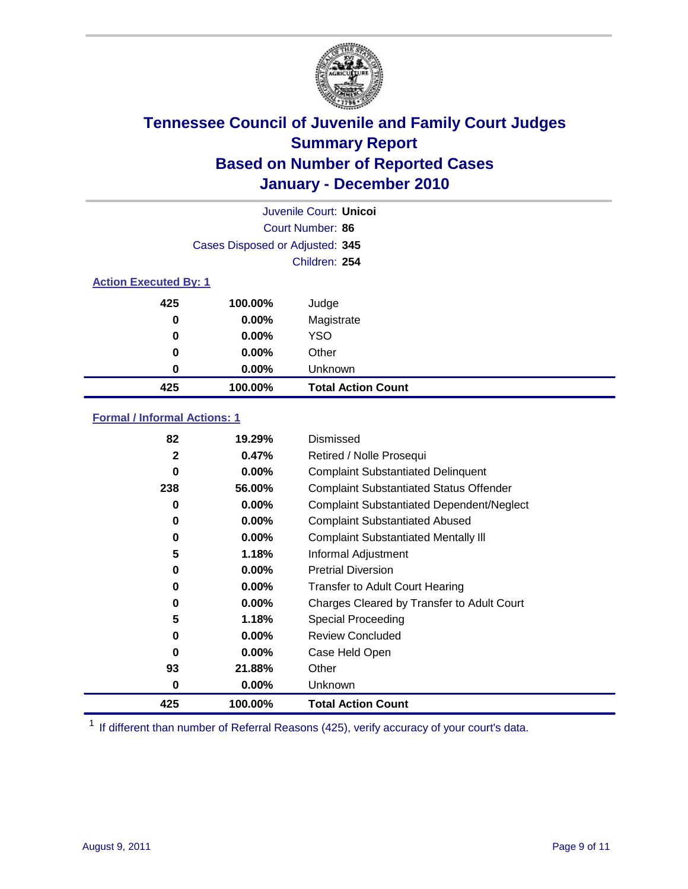

|                              | Juvenile Court: Unicol          |                           |  |  |  |
|------------------------------|---------------------------------|---------------------------|--|--|--|
|                              | Court Number: 86                |                           |  |  |  |
|                              | Cases Disposed or Adjusted: 345 |                           |  |  |  |
|                              |                                 | Children: 254             |  |  |  |
| <b>Action Executed By: 1</b> |                                 |                           |  |  |  |
| 425                          | 100.00%                         | Judge                     |  |  |  |
| $\bf{0}$                     | $0.00\%$                        | Magistrate                |  |  |  |
| $\bf{0}$                     | $0.00\%$                        | <b>YSO</b>                |  |  |  |
| 0                            | 0.00%                           | Other                     |  |  |  |
| 0                            | 0.00%                           | Unknown                   |  |  |  |
| 425                          | 100.00%                         | <b>Total Action Count</b> |  |  |  |

### **Formal / Informal Actions: 1**

| 82           | 19.29%   | Dismissed                                        |
|--------------|----------|--------------------------------------------------|
| $\mathbf{2}$ | 0.47%    | Retired / Nolle Prosequi                         |
| 0            | $0.00\%$ | <b>Complaint Substantiated Delinquent</b>        |
| 238          | 56.00%   | <b>Complaint Substantiated Status Offender</b>   |
| 0            | $0.00\%$ | <b>Complaint Substantiated Dependent/Neglect</b> |
| 0            | 0.00%    | <b>Complaint Substantiated Abused</b>            |
| 0            | $0.00\%$ | <b>Complaint Substantiated Mentally III</b>      |
| 5            | 1.18%    | Informal Adjustment                              |
| 0            | $0.00\%$ | <b>Pretrial Diversion</b>                        |
| 0            | $0.00\%$ | <b>Transfer to Adult Court Hearing</b>           |
| 0            | 0.00%    | Charges Cleared by Transfer to Adult Court       |
| 5            | 1.18%    | Special Proceeding                               |
| 0            | $0.00\%$ | <b>Review Concluded</b>                          |
| $\bf{0}$     | $0.00\%$ | Case Held Open                                   |
| 93           | 21.88%   | Other                                            |
| 0            | 0.00%    | Unknown                                          |
| 425          | 100.00%  | <b>Total Action Count</b>                        |

<sup>1</sup> If different than number of Referral Reasons (425), verify accuracy of your court's data.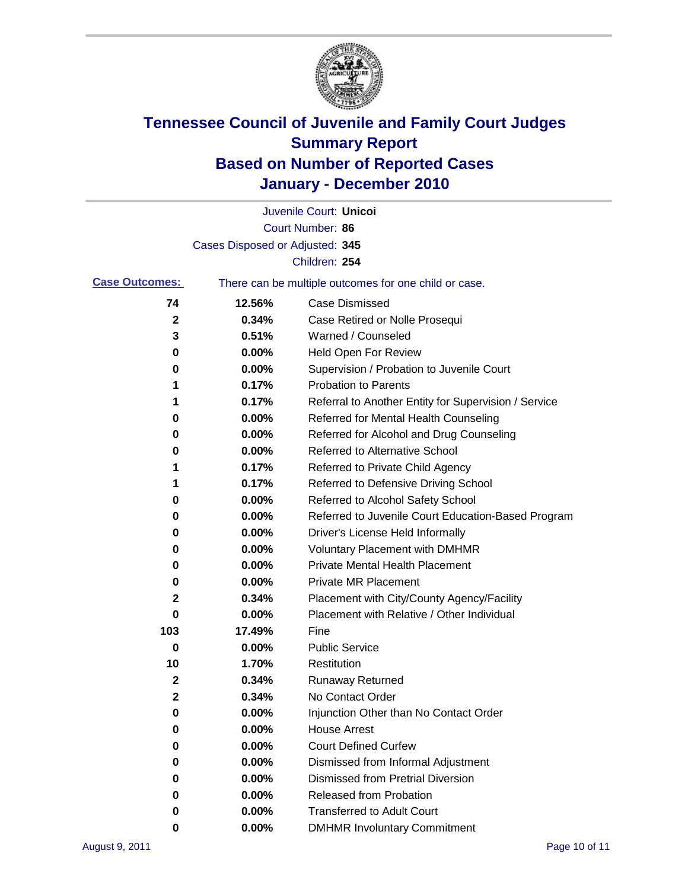

|                       |                                 | Juvenile Court: Unicoi                                |
|-----------------------|---------------------------------|-------------------------------------------------------|
|                       |                                 | Court Number: 86                                      |
|                       | Cases Disposed or Adjusted: 345 |                                                       |
|                       |                                 | Children: 254                                         |
| <b>Case Outcomes:</b> |                                 | There can be multiple outcomes for one child or case. |
| 74                    | 12.56%                          | <b>Case Dismissed</b>                                 |
| 2                     | 0.34%                           | Case Retired or Nolle Prosequi                        |
| 3                     | 0.51%                           | Warned / Counseled                                    |
| 0                     | 0.00%                           | Held Open For Review                                  |
| 0                     | 0.00%                           | Supervision / Probation to Juvenile Court             |
| 1                     | 0.17%                           | <b>Probation to Parents</b>                           |
| 1                     | 0.17%                           | Referral to Another Entity for Supervision / Service  |
| 0                     | 0.00%                           | Referred for Mental Health Counseling                 |
| 0                     | 0.00%                           | Referred for Alcohol and Drug Counseling              |
| 0                     | 0.00%                           | <b>Referred to Alternative School</b>                 |
| 1                     | 0.17%                           | Referred to Private Child Agency                      |
| 1                     | 0.17%                           | Referred to Defensive Driving School                  |
| 0                     | 0.00%                           | Referred to Alcohol Safety School                     |
| 0                     | 0.00%                           | Referred to Juvenile Court Education-Based Program    |
| 0                     | 0.00%                           | Driver's License Held Informally                      |
| 0                     | 0.00%                           | <b>Voluntary Placement with DMHMR</b>                 |
| 0                     | 0.00%                           | <b>Private Mental Health Placement</b>                |
| 0                     | 0.00%                           | <b>Private MR Placement</b>                           |
| 2                     | 0.34%                           | Placement with City/County Agency/Facility            |
| 0                     | 0.00%                           | Placement with Relative / Other Individual            |
| 103                   | 17.49%                          | Fine                                                  |
| 0                     | 0.00%                           | <b>Public Service</b>                                 |
| 10                    | 1.70%                           | Restitution                                           |
| 2                     | 0.34%                           | <b>Runaway Returned</b>                               |
| 2                     | 0.34%                           | No Contact Order                                      |
| 0                     | 0.00%                           | Injunction Other than No Contact Order                |
| 0                     | 0.00%                           | <b>House Arrest</b>                                   |
| 0                     | $0.00\%$                        | <b>Court Defined Curfew</b>                           |
| 0                     | 0.00%                           | Dismissed from Informal Adjustment                    |
| 0                     | $0.00\%$                        | <b>Dismissed from Pretrial Diversion</b>              |
| 0                     | 0.00%                           | <b>Released from Probation</b>                        |
| 0                     | $0.00\%$                        | <b>Transferred to Adult Court</b>                     |
| 0                     | $0.00\%$                        | <b>DMHMR Involuntary Commitment</b>                   |